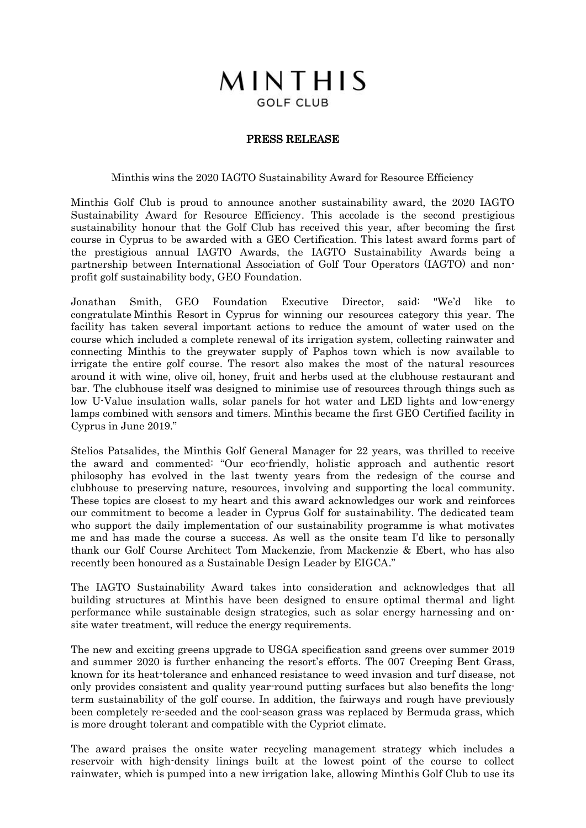## MINTHIS **GOLF CLUB**

## PRESS RELEASE

Minthis wins the 2020 IAGTO Sustainability Award for Resource Efficiency

Minthis Golf Club is proud to announce another sustainability award, the 2020 IAGTO Sustainability Award for Resource Efficiency. This accolade is the second prestigious sustainability honour that the Golf Club has received this year, after becoming the first course in Cyprus to be awarded with a GEO Certification. This latest award forms part of the prestigious annual IAGTO Awards, the IAGTO Sustainability Awards being a partnership between International Association of Golf Tour Operators (IAGTO) and nonprofit golf sustainability body, GEO Foundation.

Jonathan Smith, GEO Foundation Executive Director, said: "We'd like to congratulate Minthis Resort in Cyprus for winning our resources category this year. The facility has taken several important actions to reduce the amount of water used on the course which included a complete renewal of its irrigation system, collecting rainwater and connecting Minthis to the greywater supply of Paphos town which is now available to irrigate the entire golf course. The resort also makes the most of the natural resources around it with wine, olive oil, honey, fruit and herbs used at the clubhouse restaurant and bar. The clubhouse itself was designed to minimise use of resources through things such as low U-Value insulation walls, solar panels for hot water and LED lights and low-energy lamps combined with sensors and timers. Minthis became the first GEO Certified facility in Cyprus in June 2019."

Stelios Patsalides, the Minthis Golf General Manager for 22 years, was thrilled to receive the award and commented: "Our eco-friendly, holistic approach and authentic resort philosophy has evolved in the last twenty years from the redesign of the course and clubhouse to preserving nature, resources, involving and supporting the local community. These topics are closest to my heart and this award acknowledges our work and reinforces our commitment to become a leader in Cyprus Golf for sustainability. The dedicated team who support the daily implementation of our sustainability programme is what motivates me and has made the course a success. As well as the onsite team I'd like to personally thank our Golf Course Architect Tom Mackenzie, from Mackenzie & Ebert, who has also recently been honoured as a Sustainable Design Leader by EIGCA."

The IAGTO Sustainability Award takes into consideration and acknowledges that all building structures at Minthis have been designed to ensure optimal thermal and light performance while sustainable design strategies, such as solar energy harnessing and onsite water treatment, will reduce the energy requirements.

The new and exciting greens upgrade to USGA specification sand greens over summer 2019 and summer 2020 is further enhancing the resort's efforts. The 007 Creeping Bent Grass, known for its heat-tolerance and enhanced resistance to weed invasion and turf disease, not only provides consistent and quality year-round putting surfaces but also benefits the longterm sustainability of the golf course. In addition, the fairways and rough have previously been completely re-seeded and the cool-season grass was replaced by Bermuda grass, which is more drought tolerant and compatible with the Cypriot climate.

The award praises the onsite water recycling management strategy which includes a reservoir with high-density linings built at the lowest point of the course to collect rainwater, which is pumped into a new irrigation lake, allowing Minthis Golf Club to use its